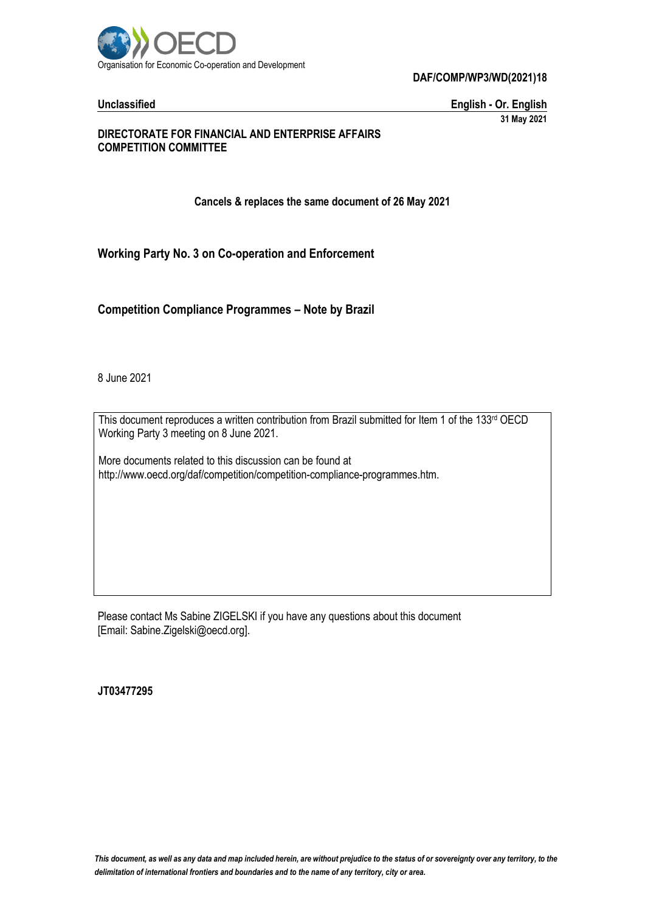

**Unclassified English - Or. English 31 May 2021**

### **DIRECTORATE FOR FINANCIAL AND ENTERPRISE AFFAIRS COMPETITION COMMITTEE**

**Cancels & replaces the same document of 26 May 2021**

**Working Party No. 3 on Co-operation and Enforcement**

**Competition Compliance Programmes – Note by Brazil**

8 June 2021

This document reproduces a written contribution from Brazil submitted for Item 1 of the 133rd OECD Working Party 3 meeting on 8 June 2021.

More documents related to this discussion can be found at http://www.oecd.org/daf/competition/competition-compliance-programmes.htm.

Please contact Ms Sabine ZIGELSKI if you have any questions about this document [Email: Sabine.Zigelski@oecd.org].

**JT03477295**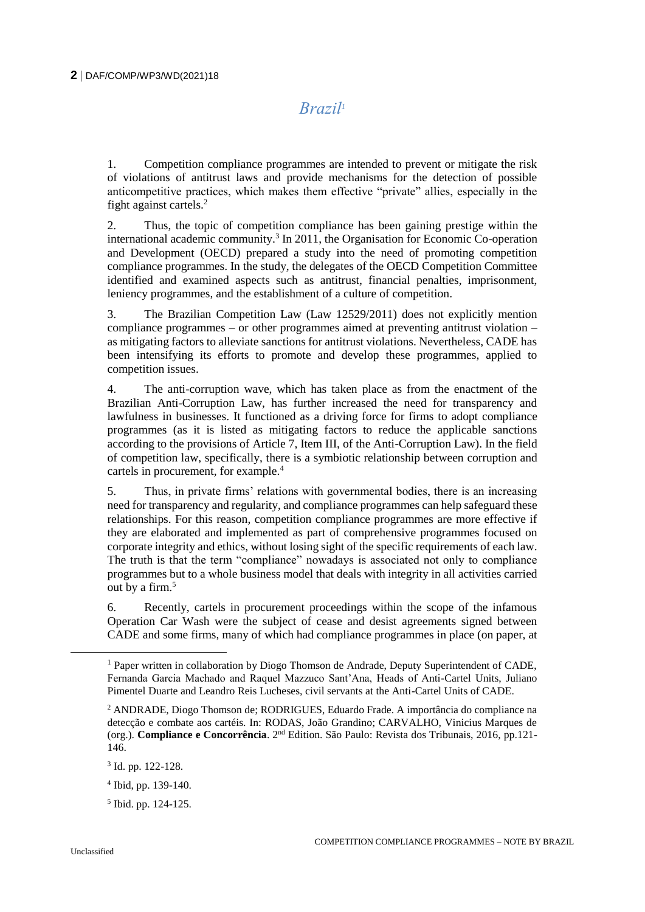*Brazil<sup>1</sup>*

1. Competition compliance programmes are intended to prevent or mitigate the risk of violations of antitrust laws and provide mechanisms for the detection of possible anticompetitive practices, which makes them effective "private" allies, especially in the fight against cartels.<sup>2</sup>

2. Thus, the topic of competition compliance has been gaining prestige within the international academic community.<sup>3</sup> In 2011, the Organisation for Economic Co-operation and Development (OECD) prepared a study into the need of promoting competition compliance programmes. In the study, the delegates of the OECD Competition Committee identified and examined aspects such as antitrust, financial penalties, imprisonment, leniency programmes, and the establishment of a culture of competition.

3. The Brazilian Competition Law (Law 12529/2011) does not explicitly mention compliance programmes – or other programmes aimed at preventing antitrust violation – as mitigating factors to alleviate sanctions for antitrust violations. Nevertheless, CADE has been intensifying its efforts to promote and develop these programmes, applied to competition issues.

4. The anti-corruption wave, which has taken place as from the enactment of the Brazilian Anti-Corruption Law, has further increased the need for transparency and lawfulness in businesses. It functioned as a driving force for firms to adopt compliance programmes (as it is listed as mitigating factors to reduce the applicable sanctions according to the provisions of Article 7, Item III, of the Anti-Corruption Law). In the field of competition law, specifically, there is a symbiotic relationship between corruption and cartels in procurement, for example.<sup>4</sup>

5. Thus, in private firms' relations with governmental bodies, there is an increasing need for transparency and regularity, and compliance programmes can help safeguard these relationships. For this reason, competition compliance programmes are more effective if they are elaborated and implemented as part of comprehensive programmes focused on corporate integrity and ethics, without losing sight of the specific requirements of each law. The truth is that the term "compliance" nowadays is associated not only to compliance programmes but to a whole business model that deals with integrity in all activities carried out by a firm.<sup>5</sup>

6. Recently, cartels in procurement proceedings within the scope of the infamous Operation Car Wash were the subject of cease and desist agreements signed between CADE and some firms, many of which had compliance programmes in place (on paper, at

 $\overline{a}$ 

<sup>&</sup>lt;sup>1</sup> Paper written in collaboration by Diogo Thomson de Andrade, Deputy Superintendent of CADE, Fernanda Garcia Machado and Raquel Mazzuco Sant'Ana, Heads of Anti-Cartel Units, Juliano Pimentel Duarte and Leandro Reis Lucheses, civil servants at the Anti-Cartel Units of CADE.

<sup>2</sup> ANDRADE, Diogo Thomson de; RODRIGUES, Eduardo Frade. A importância do compliance na detecção e combate aos cartéis. In: RODAS, João Grandino; CARVALHO, Vinicius Marques de (org.). **Compliance e Concorrência**. 2nd Edition. São Paulo: Revista dos Tribunais, 2016, pp.121- 146.

<sup>3</sup> Id. pp. 122-128.

<sup>4</sup> Ibid, pp. 139-140.

<sup>5</sup> Ibid. pp. 124-125.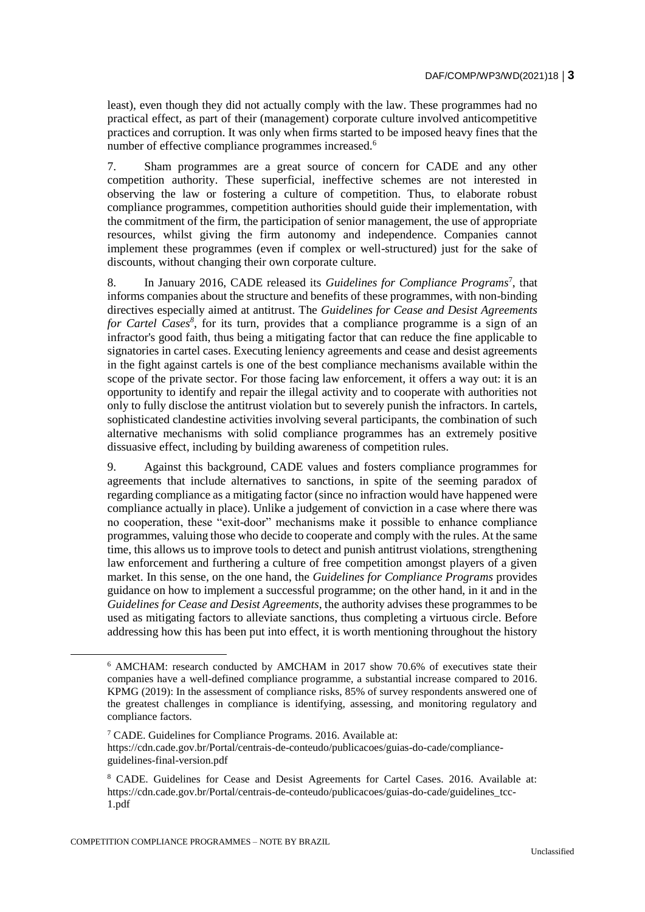least), even though they did not actually comply with the law. These programmes had no practical effect, as part of their (management) corporate culture involved anticompetitive practices and corruption. It was only when firms started to be imposed heavy fines that the number of effective compliance programmes increased.<sup>6</sup>

7. Sham programmes are a great source of concern for CADE and any other competition authority. These superficial, ineffective schemes are not interested in observing the law or fostering a culture of competition. Thus, to elaborate robust compliance programmes, competition authorities should guide their implementation, with the commitment of the firm, the participation of senior management, the use of appropriate resources, whilst giving the firm autonomy and independence. Companies cannot implement these programmes (even if complex or well-structured) just for the sake of discounts, without changing their own corporate culture.

8. In January 2016, CADE released its *Guidelines for Compliance Programs*<sup>7</sup> , that informs companies about the structure and benefits of these programmes, with non-binding directives especially aimed at antitrust. The *Guidelines for Cease and Desist Agreements*  for Cartel Cases<sup>8</sup>, for its turn, provides that a compliance programme is a sign of an infractor's good faith, thus being a mitigating factor that can reduce the fine applicable to signatories in cartel cases. Executing leniency agreements and cease and desist agreements in the fight against cartels is one of the best compliance mechanisms available within the scope of the private sector. For those facing law enforcement, it offers a way out: it is an opportunity to identify and repair the illegal activity and to cooperate with authorities not only to fully disclose the antitrust violation but to severely punish the infractors. In cartels, sophisticated clandestine activities involving several participants, the combination of such alternative mechanisms with solid compliance programmes has an extremely positive dissuasive effect, including by building awareness of competition rules.

9. Against this background, CADE values and fosters compliance programmes for agreements that include alternatives to sanctions, in spite of the seeming paradox of regarding compliance as a mitigating factor (since no infraction would have happened were compliance actually in place). Unlike a judgement of conviction in a case where there was no cooperation, these "exit-door" mechanisms make it possible to enhance compliance programmes, valuing those who decide to cooperate and comply with the rules. At the same time, this allows us to improve tools to detect and punish antitrust violations, strengthening law enforcement and furthering a culture of free competition amongst players of a given market. In this sense, on the one hand, the *Guidelines for Compliance Programs* provides guidance on how to implement a successful programme; on the other hand, in it and in the *Guidelines for Cease and Desist Agreements*, the authority advises these programmes to be used as mitigating factors to alleviate sanctions, thus completing a virtuous circle. Before addressing how this has been put into effect, it is worth mentioning throughout the history

<sup>6</sup> AMCHAM: research conducted by AMCHAM in 2017 show 70.6% of executives state their companies have a well-defined compliance programme, a substantial increase compared to 2016. KPMG (2019): In the assessment of compliance risks, 85% of survey respondents answered one of the greatest challenges in compliance is identifying, assessing, and monitoring regulatory and compliance factors.

<sup>7</sup> CADE. Guidelines for Compliance Programs. 2016. Available at: https://cdn.cade.gov.br/Portal/centrais-de-conteudo/publicacoes/guias-do-cade/complianceguidelines-final-version.pdf

<sup>8</sup> CADE. Guidelines for Cease and Desist Agreements for Cartel Cases. 2016. Available at: https://cdn.cade.gov.br/Portal/centrais-de-conteudo/publicacoes/guias-do-cade/guidelines\_tcc-1.pdf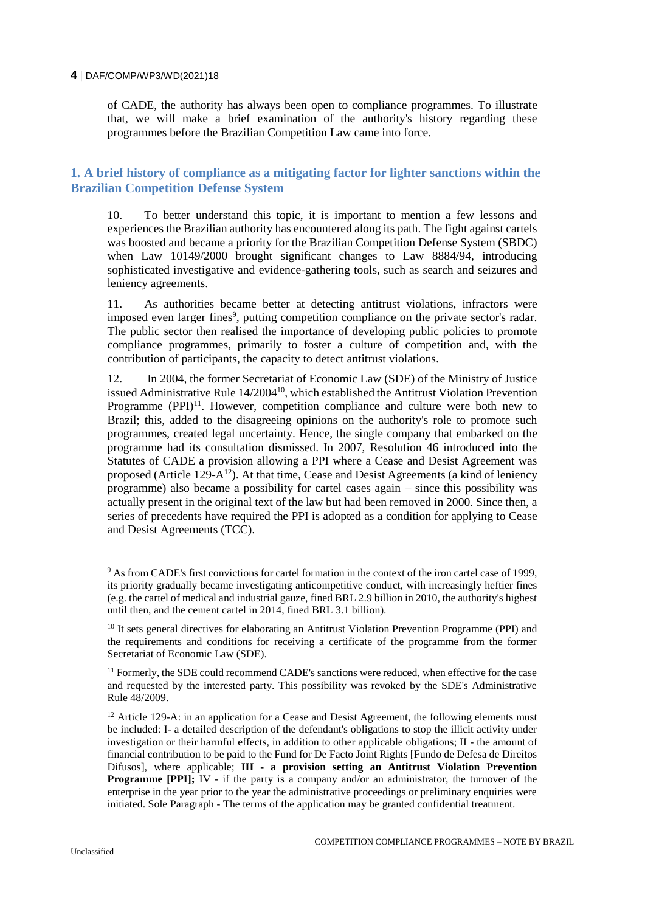of CADE, the authority has always been open to compliance programmes. To illustrate that, we will make a brief examination of the authority's history regarding these programmes before the Brazilian Competition Law came into force.

## **1. A brief history of compliance as a mitigating factor for lighter sanctions within the Brazilian Competition Defense System**

10. To better understand this topic, it is important to mention a few lessons and experiences the Brazilian authority has encountered along its path. The fight against cartels was boosted and became a priority for the Brazilian Competition Defense System (SBDC) when Law 10149/2000 brought significant changes to Law 8884/94, introducing sophisticated investigative and evidence-gathering tools, such as search and seizures and leniency agreements.

11. As authorities became better at detecting antitrust violations, infractors were imposed even larger fines<sup>9</sup>, putting competition compliance on the private sector's radar. The public sector then realised the importance of developing public policies to promote compliance programmes, primarily to foster a culture of competition and, with the contribution of participants, the capacity to detect antitrust violations.

12. In 2004, the former Secretariat of Economic Law (SDE) of the Ministry of Justice issued Administrative Rule  $14/2004^{10}$ , which established the Antitrust Violation Prevention Programme  $(PPI)^{11}$ . However, competition compliance and culture were both new to Brazil; this, added to the disagreeing opinions on the authority's role to promote such programmes, created legal uncertainty. Hence, the single company that embarked on the programme had its consultation dismissed. In 2007, Resolution 46 introduced into the Statutes of CADE a provision allowing a PPI where a Cease and Desist Agreement was proposed (Article 129- $A^{12}$ ). At that time, Cease and Desist Agreements (a kind of leniency programme) also became a possibility for cartel cases again – since this possibility was actually present in the original text of the law but had been removed in 2000. Since then, a series of precedents have required the PPI is adopted as a condition for applying to Cease and Desist Agreements (TCC).

 $\overline{a}$ 

<sup>9</sup> As from CADE's first convictions for cartel formation in the context of the iron cartel case of 1999, its priority gradually became investigating anticompetitive conduct, with increasingly heftier fines (e.g. the cartel of medical and industrial gauze, fined BRL 2.9 billion in 2010, the authority's highest until then, and the cement cartel in 2014, fined BRL 3.1 billion).

<sup>&</sup>lt;sup>10</sup> It sets general directives for elaborating an Antitrust Violation Prevention Programme (PPI) and the requirements and conditions for receiving a certificate of the programme from the former Secretariat of Economic Law (SDE).

<sup>&</sup>lt;sup>11</sup> Formerly, the SDE could recommend CADE's sanctions were reduced, when effective for the case and requested by the interested party. This possibility was revoked by the SDE's Administrative Rule 48/2009.

 $12$  Article 129-A: in an application for a Cease and Desist Agreement, the following elements must be included: I- a detailed description of the defendant's obligations to stop the illicit activity under investigation or their harmful effects, in addition to other applicable obligations; II - the amount of financial contribution to be paid to the Fund for De Facto Joint Rights [Fundo de Defesa de Direitos Difusos], where applicable; **III - a provision setting an Antitrust Violation Prevention Programme [PPI];** IV - if the party is a company and/or an administrator, the turnover of the enterprise in the year prior to the year the administrative proceedings or preliminary enquiries were initiated. Sole Paragraph - The terms of the application may be granted confidential treatment.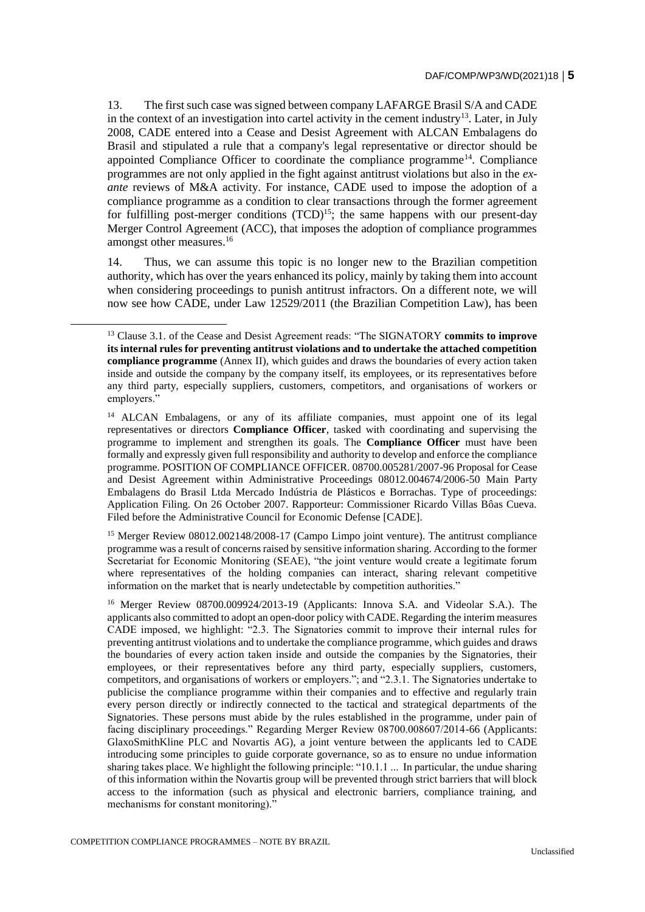13. The first such case was signed between company LAFARGE Brasil S/A and CADE in the context of an investigation into cartel activity in the cement industry<sup>13</sup>. Later, in July 2008, CADE entered into a Cease and Desist Agreement with ALCAN Embalagens do Brasil and stipulated a rule that a company's legal representative or director should be appointed Compliance Officer to coordinate the compliance programme<sup>14</sup>. Compliance programmes are not only applied in the fight against antitrust violations but also in the *exante* reviews of M&A activity. For instance, CADE used to impose the adoption of a compliance programme as a condition to clear transactions through the former agreement for fulfilling post-merger conditions  $(TCD)^{15}$ ; the same happens with our present-day Merger Control Agreement (ACC), that imposes the adoption of compliance programmes amongst other measures.<sup>16</sup>

14. Thus, we can assume this topic is no longer new to the Brazilian competition authority, which has over the years enhanced its policy, mainly by taking them into account when considering proceedings to punish antitrust infractors. On a different note, we will now see how CADE, under Law 12529/2011 (the Brazilian Competition Law), has been

<sup>15</sup> Merger Review 08012.002148/2008-17 (Campo Limpo joint venture). The antitrust compliance programme was a result of concerns raised by sensitive information sharing. According to the former Secretariat for Economic Monitoring (SEAE), "the joint venture would create a legitimate forum where representatives of the holding companies can interact, sharing relevant competitive information on the market that is nearly undetectable by competition authorities."

<sup>16</sup> Merger Review 08700.009924/2013-19 (Applicants: Innova S.A. and Videolar S.A.). The applicants also committed to adopt an open-door policy with CADE. Regarding the interim measures CADE imposed, we highlight: "2.3. The Signatories commit to improve their internal rules for preventing antitrust violations and to undertake the compliance programme, which guides and draws the boundaries of every action taken inside and outside the companies by the Signatories, their employees, or their representatives before any third party, especially suppliers, customers, competitors, and organisations of workers or employers."; and "2.3.1. The Signatories undertake to publicise the compliance programme within their companies and to effective and regularly train every person directly or indirectly connected to the tactical and strategical departments of the Signatories. These persons must abide by the rules established in the programme, under pain of facing disciplinary proceedings." Regarding Merger Review 08700.008607/2014-66 (Applicants: GlaxoSmithKline PLC and Novartis AG), a joint venture between the applicants led to CADE introducing some principles to guide corporate governance, so as to ensure no undue information sharing takes place. We highlight the following principle: "10.1.1 ... In particular, the undue sharing of this information within the Novartis group will be prevented through strict barriers that will block access to the information (such as physical and electronic barriers, compliance training, and mechanisms for constant monitoring)."

 $\overline{a}$ 

<sup>13</sup> Clause 3.1. of the Cease and Desist Agreement reads: "The SIGNATORY **commits to improve its internal rules for preventing antitrust violations and to undertake the attached competition compliance programme** (Annex II), which guides and draws the boundaries of every action taken inside and outside the company by the company itself, its employees, or its representatives before any third party, especially suppliers, customers, competitors, and organisations of workers or employers."

<sup>&</sup>lt;sup>14</sup> ALCAN Embalagens, or any of its affiliate companies, must appoint one of its legal representatives or directors **Compliance Officer**, tasked with coordinating and supervising the programme to implement and strengthen its goals. The **Compliance Officer** must have been formally and expressly given full responsibility and authority to develop and enforce the compliance programme. POSITION OF COMPLIANCE OFFICER. 08700.005281/2007-96 Proposal for Cease and Desist Agreement within Administrative Proceedings 08012.004674/2006-50 Main Party Embalagens do Brasil Ltda Mercado Indústria de Plásticos e Borrachas. Type of proceedings: Application Filing. On 26 October 2007. Rapporteur: Commissioner Ricardo Villas Bôas Cueva. Filed before the Administrative Council for Economic Defense [CADE].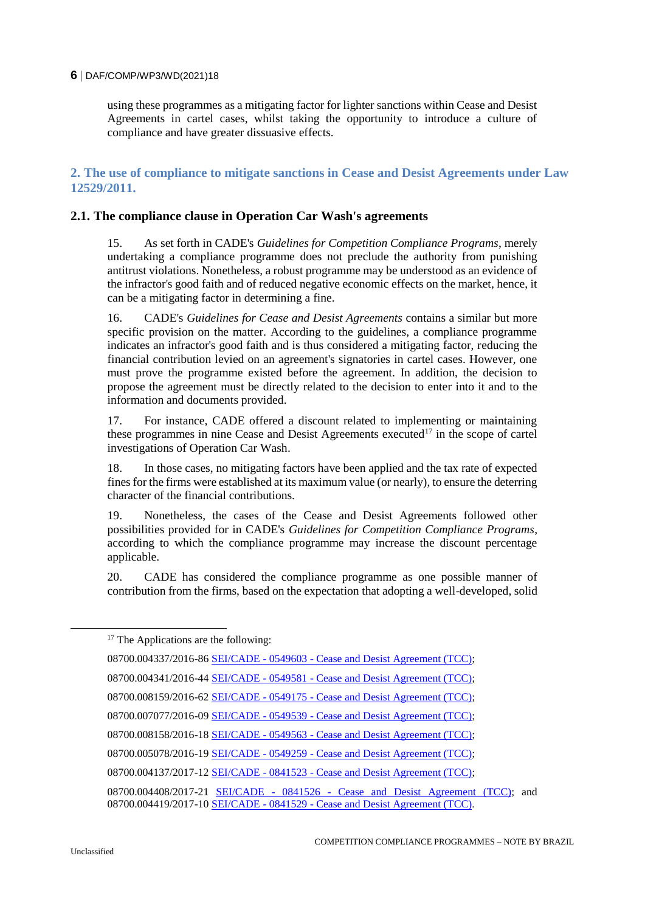using these programmes as a mitigating factor for lighter sanctions within Cease and Desist Agreements in cartel cases, whilst taking the opportunity to introduce a culture of compliance and have greater dissuasive effects.

## **2. The use of compliance to mitigate sanctions in Cease and Desist Agreements under Law 12529/2011.**

### **2.1. The compliance clause in Operation Car Wash's agreements**

15. As set forth in CADE's *Guidelines for Competition Compliance Programs*, merely undertaking a compliance programme does not preclude the authority from punishing antitrust violations. Nonetheless, a robust programme may be understood as an evidence of the infractor's good faith and of reduced negative economic effects on the market, hence, it can be a mitigating factor in determining a fine.

16. CADE's *Guidelines for Cease and Desist Agreements* contains a similar but more specific provision on the matter. According to the guidelines, a compliance programme indicates an infractor's good faith and is thus considered a mitigating factor, reducing the financial contribution levied on an agreement's signatories in cartel cases. However, one must prove the programme existed before the agreement. In addition, the decision to propose the agreement must be directly related to the decision to enter into it and to the information and documents provided.

17. For instance, CADE offered a discount related to implementing or maintaining these programmes in nine Cease and Desist Agreements executed<sup>17</sup> in the scope of cartel investigations of Operation Car Wash.

18. In those cases, no mitigating factors have been applied and the tax rate of expected fines for the firms were established at its maximum value (or nearly), to ensure the deterring character of the financial contributions.

19. Nonetheless, the cases of the Cease and Desist Agreements followed other possibilities provided for in CADE's *Guidelines for Competition Compliance Programs*, according to which the compliance programme may increase the discount percentage applicable.

20. CADE has considered the compliance programme as one possible manner of contribution from the firms, based on the expectation that adopting a well-developed, solid

<sup>&</sup>lt;sup>17</sup> The Applications are the following:

<sup>08700.004337/2016-86</sup> SEI/CADE - 0549603 - [Cease and Desist Agreement \(TCC\);](https://sei.cade.gov.br/sei/modulos/pesquisa/md_pesq_documento_consulta_externa.php?DZ2uWeaYicbuRZEFhBt-n3BfPLlu9u7akQAh8mpB9yP8PB6Qt5s0e5VYQuDRT0hl6FdPb-VuOzD3ronsiYAO3iKpbPnnSyLXavNPcO4M7ZYulBHgK_b6OrSfLYUoiPeE) 08700.004341/2016-44 SEI/CADE - 0549581 - [Cease and Desist Agreement \(TCC\);](https://sei.cade.gov.br/sei/modulos/pesquisa/md_pesq_documento_consulta_externa.php?DZ2uWeaYicbuRZEFhBt-n3BfPLlu9u7akQAh8mpB9yNKQC3BIS0kdY-qi5TUvVRTNsE2jnBz-1eyG1C66T-JsMSvAp9WPUnjv9QG6QyQ38KsQ6fn-DhVbbKYDflygnm7) 08700.008159/2016-62 SEI/CADE - 0549175 - [Cease and Desist Agreement \(TCC\);](https://sei.cade.gov.br/sei/modulos/pesquisa/md_pesq_documento_consulta_externa.php?DZ2uWeaYicbuRZEFhBt-n3BfPLlu9u7akQAh8mpB9yN4paJaWmB2NRuZcuF4xt4rouLxk_78uQV7ZGWFPC3Mgg59HyieU2C8ZVdOpUMMEDRfYnvNVvTmqkhlqHJkmI1f) 08700.007077/2016-09 SEI/CADE - 0549539 - [Cease and Desist Agreement \(TCC\);](https://sei.cade.gov.br/sei/modulos/pesquisa/md_pesq_documento_consulta_externa.php?DZ2uWeaYicbuRZEFhBt-n3BfPLlu9u7akQAh8mpB9yN3xSE9TNPzOdNQw9nb0628EzHEe_K75__IIu1xd6AAJN68UJ5tyVfrzQq35qX1aysDODoir3EUZvJ_vqKLOgI-) 08700.008158/2016-18 SEI/CADE - 0549563 - [Cease and Desist Agreement \(TCC\);](https://sei.cade.gov.br/sei/modulos/pesquisa/md_pesq_documento_consulta_externa.php?DZ2uWeaYicbuRZEFhBt-n3BfPLlu9u7akQAh8mpB9yNgM7DvHNnDs_QP9jB6beDWO2xmRzj-ixGmRMQHDa41uHOui_2jZupNnAy-K62pS2D1gaYXW14p7oXTEUtgZSuE) 08700.005078/2016-19 SEI/CADE - 0549259 - [Cease and Desist Agreement \(TCC\);](https://sei.cade.gov.br/sei/modulos/pesquisa/md_pesq_documento_consulta_externa.php?DZ2uWeaYicbuRZEFhBt-n3BfPLlu9u7akQAh8mpB9yOhIJNXKpDxcAaLABQYbCJK106j7RHrdoq6tcWNiHWDi_iq0myshvStabunfct450G5o9oimbQL2MEm5biCi8dJ) 08700.004137/2017-12 SEI/CADE - 0841523 - [Cease and Desist Agreement \(TCC\);](https://sei.cade.gov.br/sei/modulos/pesquisa/md_pesq_documento_consulta_externa.php?DZ2uWeaYicbuRZEFhBt-n3BfPLlu9u7akQAh8mpB9yNmMFHy82XPgP-VVJVnOHHFehruQiELTji_F_uF8lO1RdahEZ76rz6-vnkzV9rUkYLhDZ-IcRZsRGXVGY5JUbSx) 08700.004408/2017-21 SEI/CADE - 0841526 - [Cease and Desist Agreement \(TCC\);](https://sei.cade.gov.br/sei/modulos/pesquisa/md_pesq_documento_consulta_externa.php?DZ2uWeaYicbuRZEFhBt-n3BfPLlu9u7akQAh8mpB9yNMULzDi3hRjBMPvRno_Me7smUmU45YwRHVFcMC-3gzQrGDuayncGmvM5_Ve_Y88gkpmis3K9J2AYf2AXV4j8r2) and 08700.004419/2017-10 SEI/CADE - 0841529 - [Cease and Desist Agreement \(TCC\).](https://sei.cade.gov.br/sei/modulos/pesquisa/md_pesq_documento_consulta_externa.php?DZ2uWeaYicbuRZEFhBt-n3BfPLlu9u7akQAh8mpB9yNeg0pjn2RiBlfjW4cVNAToYMX9rI1_sK7XmKi9IxBpc1YI428Oif0a5_66DZvIsNbj8AjCcS63YcQbzxJTO4xY)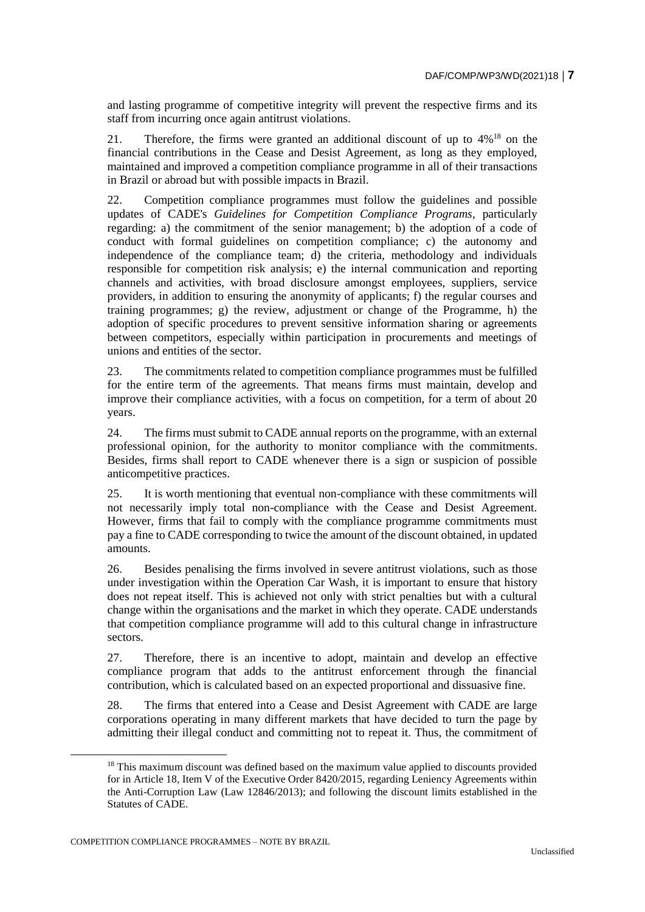and lasting programme of competitive integrity will prevent the respective firms and its staff from incurring once again antitrust violations.

21. Therefore, the firms were granted an additional discount of up to 4%<sup>18</sup> on the financial contributions in the Cease and Desist Agreement, as long as they employed, maintained and improved a competition compliance programme in all of their transactions in Brazil or abroad but with possible impacts in Brazil.

22. Competition compliance programmes must follow the guidelines and possible updates of CADE's *Guidelines for Competition Compliance Programs*, particularly regarding: a) the commitment of the senior management; b) the adoption of a code of conduct with formal guidelines on competition compliance; c) the autonomy and independence of the compliance team; d) the criteria, methodology and individuals responsible for competition risk analysis; e) the internal communication and reporting channels and activities, with broad disclosure amongst employees, suppliers, service providers, in addition to ensuring the anonymity of applicants; f) the regular courses and training programmes; g) the review, adjustment or change of the Programme, h) the adoption of specific procedures to prevent sensitive information sharing or agreements between competitors, especially within participation in procurements and meetings of unions and entities of the sector.

23. The commitments related to competition compliance programmes must be fulfilled for the entire term of the agreements. That means firms must maintain, develop and improve their compliance activities, with a focus on competition, for a term of about 20 years.

24. The firms must submit to CADE annual reports on the programme, with an external professional opinion, for the authority to monitor compliance with the commitments. Besides, firms shall report to CADE whenever there is a sign or suspicion of possible anticompetitive practices.

25. It is worth mentioning that eventual non-compliance with these commitments will not necessarily imply total non-compliance with the Cease and Desist Agreement. However, firms that fail to comply with the compliance programme commitments must pay a fine to CADE corresponding to twice the amount of the discount obtained, in updated amounts.

26. Besides penalising the firms involved in severe antitrust violations, such as those under investigation within the Operation Car Wash, it is important to ensure that history does not repeat itself. This is achieved not only with strict penalties but with a cultural change within the organisations and the market in which they operate. CADE understands that competition compliance programme will add to this cultural change in infrastructure sectors.

27. Therefore, there is an incentive to adopt, maintain and develop an effective compliance program that adds to the antitrust enforcement through the financial contribution, which is calculated based on an expected proportional and dissuasive fine.

28. The firms that entered into a Cease and Desist Agreement with CADE are large corporations operating in many different markets that have decided to turn the page by admitting their illegal conduct and committing not to repeat it. Thus, the commitment of

<sup>&</sup>lt;sup>18</sup> This maximum discount was defined based on the maximum value applied to discounts provided for in Article 18, Item V of the Executive Order 8420/2015, regarding Leniency Agreements within the Anti-Corruption Law (Law 12846/2013); and following the discount limits established in the Statutes of CADE.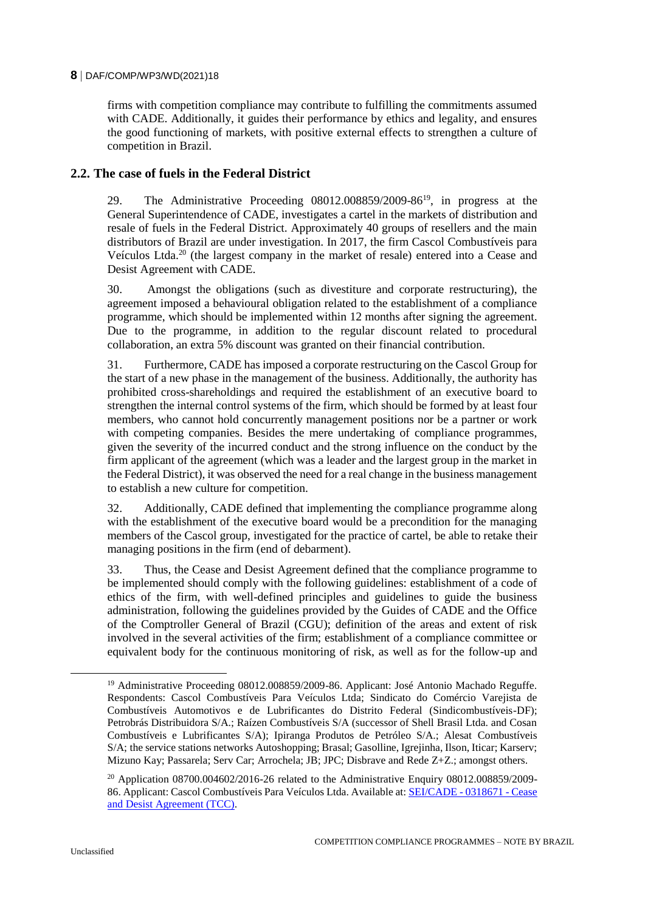firms with competition compliance may contribute to fulfilling the commitments assumed with CADE. Additionally, it guides their performance by ethics and legality, and ensures the good functioning of markets, with positive external effects to strengthen a culture of competition in Brazil.

# **2.2. The case of fuels in the Federal District**

29. The Administrative Proceeding  $08012.008859/2009-86^{19}$ , in progress at the General Superintendence of CADE, investigates a cartel in the markets of distribution and resale of fuels in the Federal District. Approximately 40 groups of resellers and the main distributors of Brazil are under investigation. In 2017, the firm Cascol Combustíveis para Veículos Ltda.<sup>20</sup> (the largest company in the market of resale) entered into a Cease and Desist Agreement with CADE.

30. Amongst the obligations (such as divestiture and corporate restructuring), the agreement imposed a behavioural obligation related to the establishment of a compliance programme, which should be implemented within 12 months after signing the agreement. Due to the programme, in addition to the regular discount related to procedural collaboration, an extra 5% discount was granted on their financial contribution.

31. Furthermore, CADE has imposed a corporate restructuring on the Cascol Group for the start of a new phase in the management of the business. Additionally, the authority has prohibited cross-shareholdings and required the establishment of an executive board to strengthen the internal control systems of the firm, which should be formed by at least four members, who cannot hold concurrently management positions nor be a partner or work with competing companies. Besides the mere undertaking of compliance programmes, given the severity of the incurred conduct and the strong influence on the conduct by the firm applicant of the agreement (which was a leader and the largest group in the market in the Federal District), it was observed the need for a real change in the business management to establish a new culture for competition.

32. Additionally, CADE defined that implementing the compliance programme along with the establishment of the executive board would be a precondition for the managing members of the Cascol group, investigated for the practice of cartel, be able to retake their managing positions in the firm (end of debarment).

33. Thus, the Cease and Desist Agreement defined that the compliance programme to be implemented should comply with the following guidelines: establishment of a code of ethics of the firm, with well-defined principles and guidelines to guide the business administration, following the guidelines provided by the Guides of CADE and the Office of the Comptroller General of Brazil (CGU); definition of the areas and extent of risk involved in the several activities of the firm; establishment of a compliance committee or equivalent body for the continuous monitoring of risk, as well as for the follow-up and

<sup>&</sup>lt;sup>19</sup> Administrative Proceeding 08012.008859/2009-86. Applicant: José Antonio Machado Reguffe. Respondents: Cascol Combustíveis Para Veículos Ltda; Sindicato do Comércio Varejista de Combustíveis Automotivos e de Lubrificantes do Distrito Federal (Sindicombustíveis-DF); Petrobrás Distribuidora S/A.; Raízen Combustíveis S/A (successor of Shell Brasil Ltda. and Cosan Combustíveis e Lubrificantes S/A); Ipiranga Produtos de Petróleo S/A.; Alesat Combustíveis S/A; the service stations networks Autoshopping; Brasal; Gasolline, Igrejinha, Ilson, Iticar; Karserv; Mizuno Kay; Passarela; Serv Car; Arrochela; JB; JPC; Disbrave and Rede Z+Z.; amongst others.

<sup>&</sup>lt;sup>20</sup> Application  $08700.004602/2016$ -26 related to the Administrative Enquiry  $08012.008859/2009$ -86. Applicant: Cascol Combustíveis Para Veículos Ltda. Available at[: SEI/CADE -](https://sei.cade.gov.br/sei/modulos/pesquisa/md_pesq_documento_consulta_externa.php?DZ2uWeaYicbuRZEFhBt-n3BfPLlu9u7akQAh8mpB9yMPNPjHPGG0zCIGPdwZ1Nga8cmCfcRW1vUe9-dFdFTHj9A7fDTqc-kv1mnc62uIl2_P340yblE5yvjWkRPmJoVW) 0318671 - Cease [and Desist Agreement \(TCC\).](https://sei.cade.gov.br/sei/modulos/pesquisa/md_pesq_documento_consulta_externa.php?DZ2uWeaYicbuRZEFhBt-n3BfPLlu9u7akQAh8mpB9yMPNPjHPGG0zCIGPdwZ1Nga8cmCfcRW1vUe9-dFdFTHj9A7fDTqc-kv1mnc62uIl2_P340yblE5yvjWkRPmJoVW)